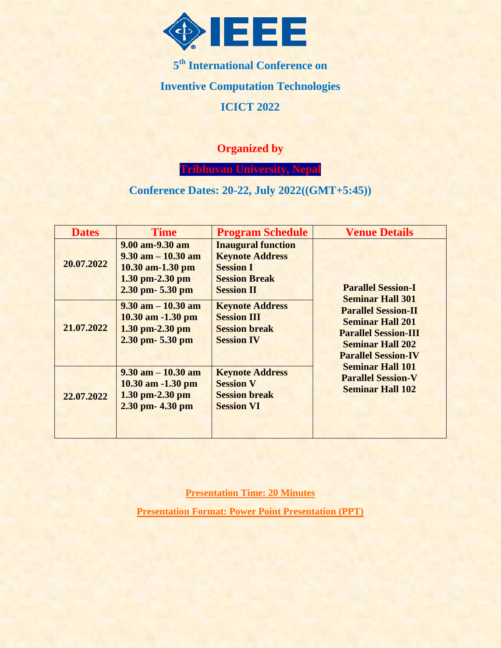

**5 th International Conference on Inventive Computation Technologies ICICT 2022**

### **Organized by**

**Tribhuvan University, Nepal**

### **Conference Dates: 20-22, July 2022((GMT+5:45))**

| <b>Dates</b> | <b>Time</b>                                                                                                 | <b>Program Schedule</b>                                                                                              | <b>Venue Details</b>                                                                                                                                                     |
|--------------|-------------------------------------------------------------------------------------------------------------|----------------------------------------------------------------------------------------------------------------------|--------------------------------------------------------------------------------------------------------------------------------------------------------------------------|
| 20.07.2022   | 9.00 am-9.30 am<br>$9.30$ am $-10.30$ am<br>$10.30$ am-1.30 pm<br>$1.30$ pm-2.30 pm<br>$2.30$ pm- $5.30$ pm | <b>Inaugural function</b><br><b>Keynote Address</b><br><b>Session I</b><br><b>Session Break</b><br><b>Session II</b> | <b>Parallel Session-I</b>                                                                                                                                                |
| 21.07.2022   | $9.30$ am $-10.30$ am<br>$10.30$ am $-1.30$ pm<br>$1.30$ pm-2.30 pm<br>$2.30$ pm- $5.30$ pm                 | <b>Keynote Address</b><br><b>Session III</b><br><b>Session break</b><br><b>Session IV</b>                            | <b>Seminar Hall 301</b><br><b>Parallel Session-II</b><br><b>Seminar Hall 201</b><br><b>Parallel Session-III</b><br><b>Seminar Hall 202</b><br><b>Parallel Session-IV</b> |
| 22.07.2022   | $9.30$ am $-10.30$ am<br>$10.30$ am $-1.30$ pm<br>$1.30$ pm-2.30 pm<br>$2.30$ pm- $4.30$ pm                 | <b>Keynote Address</b><br><b>Session V</b><br><b>Session break</b><br><b>Session VI</b>                              | <b>Seminar Hall 101</b><br><b>Parallel Session-V</b><br><b>Seminar Hall 102</b>                                                                                          |

**Presentation Time: 20 Minutes**

**Presentation Format: Power Point Presentation (PPT)**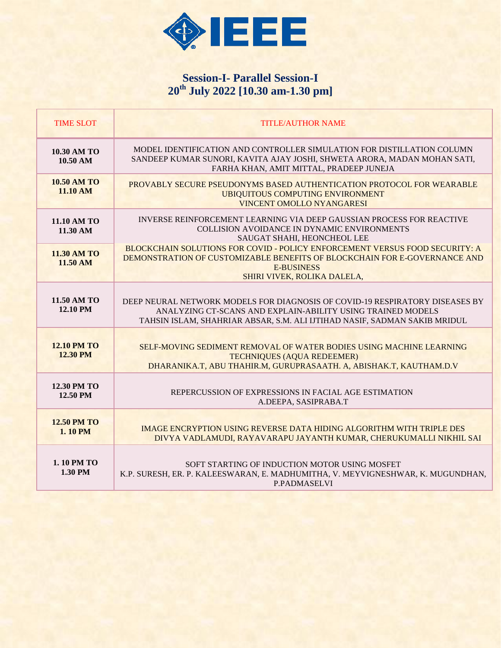

# **Session-I- Parallel Session-I 20th July 2022 [10.30 am-1.30 pm]**

| <b>TIME SLOT</b>                        | <b>TITLE/AUTHOR NAME</b>                                                                                                                                                                                                 |
|-----------------------------------------|--------------------------------------------------------------------------------------------------------------------------------------------------------------------------------------------------------------------------|
| 10.30 AM TO<br>10.50 AM                 | MODEL IDENTIFICATION AND CONTROLLER SIMULATION FOR DISTILLATION COLUMN<br>SANDEEP KUMAR SUNORI, KAVITA AJAY JOSHI, SHWETA ARORA, MADAN MOHAN SATI,<br>FARHA KHAN, AMIT MITTAL, PRADEEP JUNEJA                            |
| <b>10.50 AM TO</b><br>11.10 AM          | PROVABLY SECURE PSEUDONYMS BASED AUTHENTICATION PROTOCOL FOR WEARABLE<br><b>UBIQUITOUS COMPUTING ENVIRONMENT</b><br><b>VINCENT OMOLLO NYANGARESI</b>                                                                     |
| 11.10 AM TO<br>11.30 AM                 | <b>INVERSE REINFORCEMENT LEARNING VIA DEEP GAUSSIAN PROCESS FOR REACTIVE</b><br><b>COLLISION AVOIDANCE IN DYNAMIC ENVIRONMENTS</b><br>SAUGAT SHAHI, HEONCHEOL LEE                                                        |
| <b>11.30 AM TO</b><br>11.50 AM          | BLOCKCHAIN SOLUTIONS FOR COVID - POLICY ENFORCEMENT VERSUS FOOD SECURITY: A<br>DEMONSTRATION OF CUSTOMIZABLE BENEFITS OF BLOCKCHAIN FOR E-GOVERNANCE AND<br><b>E-BUSINESS</b><br>SHIRI VIVEK, ROLIKA DALELA,             |
| 11.50 AM TO<br><b>12.10 PM</b>          | DEEP NEURAL NETWORK MODELS FOR DIAGNOSIS OF COVID-19 RESPIRATORY DISEASES BY<br>ANALYZING CT-SCANS AND EXPLAIN-ABILITY USING TRAINED MODELS<br>TAHSIN ISLAM, SHAHRIAR ABSAR, S.M. ALI IJTIHAD NASIF, SADMAN SAKIB MRIDUL |
| <b>12.10 PM TO</b><br>12.30 PM          | SELF-MOVING SEDIMENT REMOVAL OF WATER BODIES USING MACHINE LEARNING<br><b>TECHNIQUES (AQUA REDEEMER)</b><br>DHARANIKA.T, ABU THAHIR.M, GURUPRASAATH. A, ABISHAK.T, KAUTHAM.D.V                                           |
| <b>12.30 PM TO</b><br>12.50 PM          | REPERCUSSION OF EXPRESSIONS IN FACIAL AGE ESTIMATION<br>A.DEEPA, SASIPRABA.T                                                                                                                                             |
| <b>12.50 PM TO</b><br>$1.10 \text{ PM}$ | <b>IMAGE ENCRYPTION USING REVERSE DATA HIDING ALGORITHM WITH TRIPLE DES</b><br>DIVYA VADLAMUDI, RAYAVARAPU JAYANTH KUMAR, CHERUKUMALLI NIKHIL SAI                                                                        |
| <b>1.10 PM TO</b><br>1.30 PM            | SOFT STARTING OF INDUCTION MOTOR USING MOSFET<br>K.P. SURESH, ER. P. KALEESWARAN, E. MADHUMITHA, V. MEYVIGNESHWAR, K. MUGUNDHAN,<br><b>P.PADMASELVI</b>                                                                  |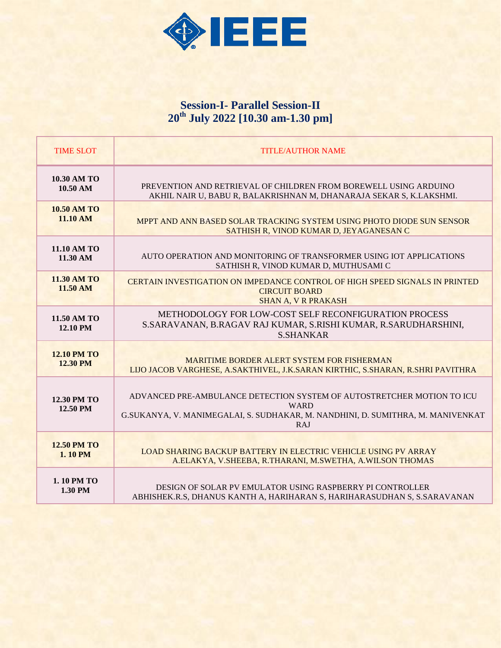

# **Session-I- Parallel Session-II 20th July 2022 [10.30 am-1.30 pm]**

| <b>TIME SLOT</b>               | <b>TITLE/AUTHOR NAME</b>                                                                                                                                                        |
|--------------------------------|---------------------------------------------------------------------------------------------------------------------------------------------------------------------------------|
| <b>10.30 AM TO</b>             | PREVENTION AND RETRIEVAL OF CHILDREN FROM BOREWELL USING ARDUINO                                                                                                                |
| $10.50 \text{ AM}$             | AKHIL NAIR U, BABU R, BALAKRISHNAN M, DHANARAJA SEKAR S, K.LAKSHMI.                                                                                                             |
| <b>10.50 AM TO</b>             | MPPT AND ANN BASED SOLAR TRACKING SYSTEM USING PHOTO DIODE SUN SENSOR                                                                                                           |
| 11.10 AM                       | SATHISH R, VINOD KUMAR D, JEYAGANESAN C                                                                                                                                         |
| 11.10 AM TO                    | AUTO OPERATION AND MONITORING OF TRANSFORMER USING IOT APPLICATIONS                                                                                                             |
| 11.30 AM                       | SATHISH R, VINOD KUMAR D, MUTHUSAMI C                                                                                                                                           |
| <b>11.30 AM TO</b><br>11.50 AM | <b>CERTAIN INVESTIGATION ON IMPEDANCE CONTROL OF HIGH SPEED SIGNALS IN PRINTED</b><br><b>CIRCUIT BOARD</b><br><b>SHAN A, V R PRAKASH</b>                                        |
| 11.50 AM TO<br>12.10 PM        | METHODOLOGY FOR LOW-COST SELF RECONFIGURATION PROCESS<br>S.SARAVANAN, B.RAGAV RAJ KUMAR, S.RISHI KUMAR, R.SARUDHARSHINI,<br><b>S.SHANKAR</b>                                    |
| <b>12.10 PM TO</b>             | <b>MARITIME BORDER ALERT SYSTEM FOR FISHERMAN</b>                                                                                                                               |
| 12.30 PM                       | LIJO JACOB VARGHESE, A.SAKTHIVEL, J.K.SARAN KIRTHIC, S.SHARAN, R.SHRI PAVITHRA                                                                                                  |
| 12.30 PM TO<br>12.50 PM        | ADVANCED PRE-AMBULANCE DETECTION SYSTEM OF AUTOSTRETCHER MOTION TO ICU<br><b>WARD</b><br>G.SUKANYA, V. MANIMEGALAI, S. SUDHAKAR, M. NANDHINI, D. SUMITHRA, M. MANIVENKAT<br>RAJ |
| <b>12.50 PM TO</b>             | <b>LOAD SHARING BACKUP BATTERY IN ELECTRIC VEHICLE USING PV ARRAY</b>                                                                                                           |
| 1.10 PM                        | A.ELAKYA, V.SHEEBA, R.THARANI, M.SWETHA, A.WILSON THOMAS                                                                                                                        |
| 1.10 PM TO                     | DESIGN OF SOLAR PV EMULATOR USING RASPBERRY PI CONTROLLER                                                                                                                       |
| 1.30 PM                        | ABHISHEK.R.S, DHANUS KANTH A, HARIHARAN S, HARIHARASUDHAN S, S.SARAVANAN                                                                                                        |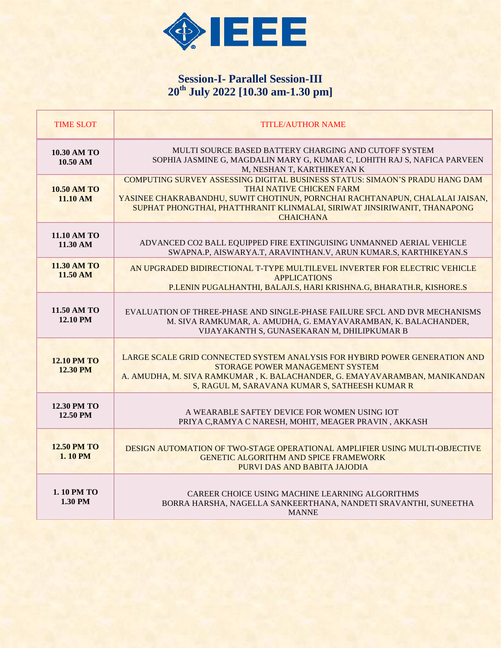

# **Session-I- Parallel Session-III 20th July 2022 [10.30 am-1.30 pm]**

| <b>TIME SLOT</b>                         | <b>TITLE/AUTHOR NAME</b>                                                                                                                                                                                                                                                                |
|------------------------------------------|-----------------------------------------------------------------------------------------------------------------------------------------------------------------------------------------------------------------------------------------------------------------------------------------|
| 10.30 AM TO<br>$10.50 \text{ AM}$        | MULTI SOURCE BASED BATTERY CHARGING AND CUTOFF SYSTEM<br>SOPHIA JASMINE G, MAGDALIN MARY G, KUMAR C, LOHITH RAJ S, NAFICA PARVEEN<br>M, NESHAN T, KARTHIKEYAN K                                                                                                                         |
| <b>10.50 AM TO</b><br>11.10 AM           | COMPUTING SURVEY ASSESSING DIGITAL BUSINESS STATUS: SIMAON'S PRADU HANG DAM<br>THAI NATIVE CHICKEN FARM<br>YASINEE CHAKRABANDHU, SUWIT CHOTINUN, PORNCHAI RACHTANAPUN, CHALALAI JAISAN,<br>SUPHAT PHONGTHAI, PHATTHRANIT KLINMALAI, SIRIWAT JINSIRIWANIT, THANAPONG<br><b>CHAICHANA</b> |
| 11.10 AM TO<br>11.30 AM                  | ADVANCED CO2 BALL EQUIPPED FIRE EXTINGUISING UNMANNED AERIAL VEHICLE<br>SWAPNA.P, AISWARYA.T, ARAVINTHAN.V, ARUN KUMAR.S, KARTHIKEYAN.S                                                                                                                                                 |
| <b>11.30 AM TO</b><br>$11.50 \text{ AM}$ | AN UPGRADED BIDIRECTIONAL T-TYPE MULTILEVEL INVERTER FOR ELECTRIC VEHICLE<br><b>APPLICATIONS</b><br>P.LENIN PUGALHANTHI, BALAJI.S, HARI KRISHNA.G, BHARATH.R, KISHORE.S                                                                                                                 |
| 11.50 AM TO<br>12.10 PM                  | EVALUATION OF THREE-PHASE AND SINGLE-PHASE FAILURE SFCL AND DVR MECHANISMS<br>M. SIVA RAMKUMAR, A. AMUDHA, G. EMAYAVARAMBAN, K. BALACHANDER,<br>VIJAYAKANTH S, GUNASEKARAN M, DHILIPKUMAR B                                                                                             |
| <b>12.10 PM TO</b><br>12.30 PM           | LARGE SCALE GRID CONNECTED SYSTEM ANALYSIS FOR HYBIRD POWER GENERATION AND<br>STORAGE POWER MANAGEMENT SYSTEM<br>A. AMUDHA, M. SIVA RAMKUMAR, K. BALACHANDER, G. EMAYAVARAMBAN, MANIKANDAN<br>S, RAGUL M, SARAVANA KUMAR S, SATHEESH KUMAR R                                            |
| <b>12.30 PM TO</b><br>12.50 PM           | A WEARABLE SAFTEY DEVICE FOR WOMEN USING IOT<br>PRIYA C, RAMYA C NARESH, MOHIT, MEAGER PRAVIN, AKKASH                                                                                                                                                                                   |
| <b>12.50 PM TO</b><br><b>1.10 PM</b>     | DESIGN AUTOMATION OF TWO-STAGE OPERATIONAL AMPLIFIER USING MULTI-OBJECTIVE<br><b>GENETIC ALGORITHM AND SPICE FRAMEWORK</b><br>PURVI DAS AND BABITA JAJODIA                                                                                                                              |
| 1.10 PM TO<br>1.30 PM                    | CAREER CHOICE USING MACHINE LEARNING ALGORITHMS<br>BORRA HARSHA, NAGELLA SANKEERTHANA, NANDETI SRAVANTHI, SUNEETHA<br><b>MANNE</b>                                                                                                                                                      |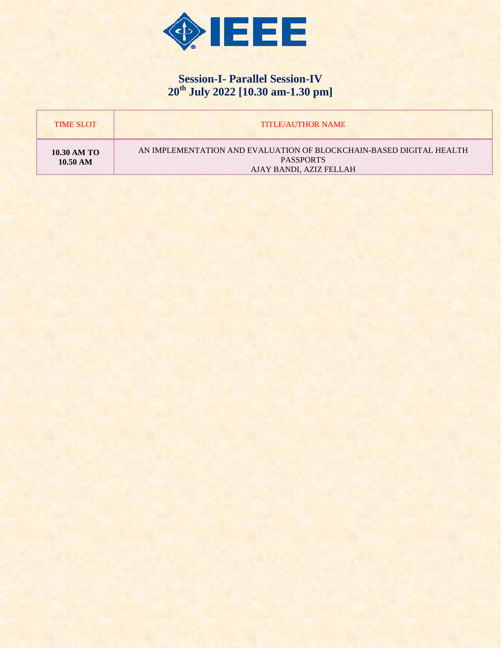

# **Session-I- Parallel Session-IV 20th July 2022 [10.30 am-1.30 pm]**

| <b>TIME SLOT</b>                  | <b>TITLE/AUTHOR NAME</b>                                                                                           |
|-----------------------------------|--------------------------------------------------------------------------------------------------------------------|
| 10.30 AM TO<br>$10.50 \text{ AM}$ | AN IMPLEMENTATION AND EVALUATION OF BLOCKCHAIN-BASED DIGITAL HEALTH<br><b>PASSPORTS</b><br>AJAY BANDI, AZIZ FELLAH |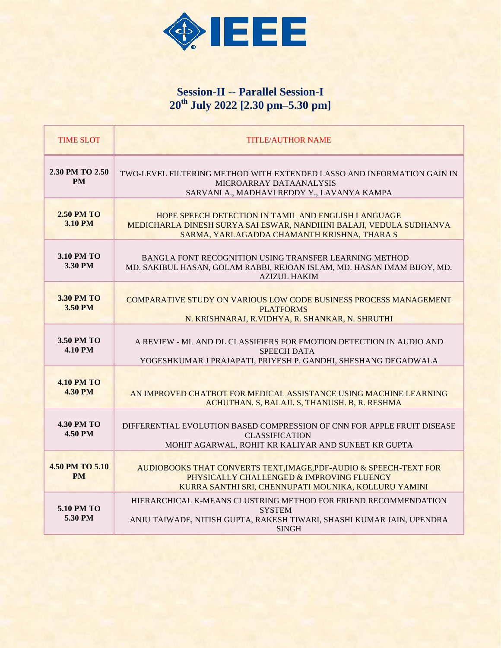

# **Session-II -- Parallel Session-I 20th July 2022 [2.30 pm–5.30 pm]**

| <b>TIME SLOT</b>                    | <b>TITLE/AUTHOR NAME</b>                                                                                                                                                  |
|-------------------------------------|---------------------------------------------------------------------------------------------------------------------------------------------------------------------------|
| 2.30 PM TO 2.50<br><b>PM</b>        | TWO-LEVEL FILTERING METHOD WITH EXTENDED LASSO AND INFORMATION GAIN IN<br>MICROARRAY DATAANALYSIS<br>SARVANI A., MADHAVI REDDY Y., LAVANYA KAMPA                          |
| <b>2.50 PM TO</b><br>3.10 PM        | HOPE SPEECH DETECTION IN TAMIL AND ENGLISH LANGUAGE<br>MEDICHARLA DINESH SURYA SAI ESWAR, NANDHINI BALAJI, VEDULA SUDHANVA<br>SARMA, YARLAGADDA CHAMANTH KRISHNA, THARA S |
| 3.10 PM TO<br>3.30 PM               | BANGLA FONT RECOGNITION USING TRANSFER LEARNING METHOD<br>MD. SAKIBUL HASAN, GOLAM RABBI, REJOAN ISLAM, MD. HASAN IMAM BIJOY, MD.<br><b>AZIZUL HAKIM</b>                  |
| <b>3.30 PM TO</b><br>3.50 PM        | COMPARATIVE STUDY ON VARIOUS LOW CODE BUSINESS PROCESS MANAGEMENT<br><b>PLATFORMS</b><br>N. KRISHNARAJ, R. VIDHYA, R. SHANKAR, N. SHRUTHI                                 |
| 3.50 PM TO<br><b>4.10 PM</b>        | A REVIEW - ML AND DL CLASSIFIERS FOR EMOTION DETECTION IN AUDIO AND<br><b>SPEECH DATA</b><br>YOGESHKUMAR J PRAJAPATI, PRIYESH P. GANDHI, SHESHANG DEGADWALA               |
| <b>4.10 PM TO</b><br><b>4.30 PM</b> | AN IMPROVED CHATBOT FOR MEDICAL ASSISTANCE USING MACHINE LEARNING<br>ACHUTHAN, S. BALAJI, S. THANUSH, B. R. RESHMA                                                        |
| <b>4.30 PM TO</b><br><b>4.50 PM</b> | DIFFERENTIAL EVOLUTION BASED COMPRESSION OF CNN FOR APPLE FRUIT DISEASE<br><b>CLASSIFICATION</b><br>MOHIT AGARWAL, ROHIT KR KALIYAR AND SUNEET KR GUPTA                   |
| 4.50 PM TO 5.10<br><b>PM</b>        | AUDIOBOOKS THAT CONVERTS TEXT, IMAGE, PDF-AUDIO & SPEECH-TEXT FOR<br>PHYSICALLY CHALLENGED & IMPROVING FLUENCY<br>KURRA SANTHI SRI, CHENNUPATI MOUNIKA, KOLLURU YAMINI    |
| 5.10 PM TO<br>5.30 PM               | HIERARCHICAL K-MEANS CLUSTRING METHOD FOR FRIEND RECOMMENDATION<br><b>SYSTEM</b><br>ANJU TAIWADE, NITISH GUPTA, RAKESH TIWARI, SHASHI KUMAR JAIN, UPENDRA<br><b>SINGH</b> |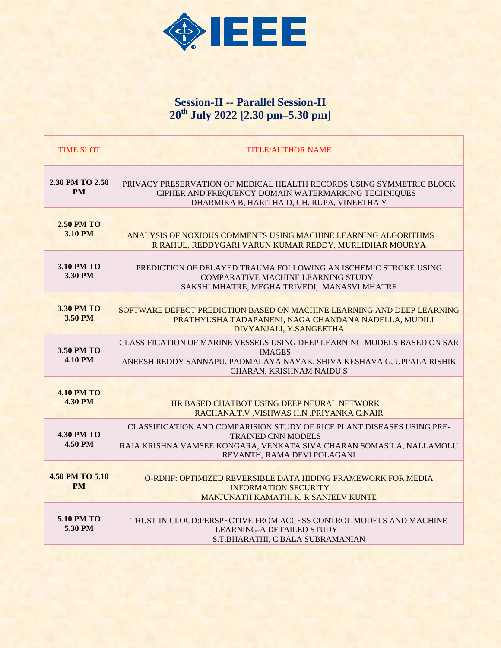

# **Session-II -- Parallel Session-II 20th July 2022 [2.30 pm–5.30 pm]**

| <b>TIME SLOT</b>                    | <b>TITLE/AUTHOR NAME</b>                                                                                                                                                                                   |
|-------------------------------------|------------------------------------------------------------------------------------------------------------------------------------------------------------------------------------------------------------|
| 2.30 PM TO 2.50<br><b>PM</b>        | PRIVACY PRESERVATION OF MEDICAL HEALTH RECORDS USING SYMMETRIC BLOCK<br>CIPHER AND FREQUENCY DOMAIN WATERMARKING TECHNIQUES<br>DHARMIKA B, HARITHA D, CH. RUPA, VINEETHA Y                                 |
| <b>2.50 PM TO</b><br><b>3.10 PM</b> | ANALYSIS OF NOXIOUS COMMENTS USING MACHINE LEARNING ALGORITHMS<br>R RAHUL, REDDYGARI VARUN KUMAR REDDY, MURLIDHAR MOURYA                                                                                   |
| <b>3.10 PM TO</b><br>3.30 PM        | PREDICTION OF DELAYED TRAUMA FOLLOWING AN ISCHEMIC STROKE USING<br><b>COMPARATIVE MACHINE LEARNING STUDY</b><br>SAKSHI MHATRE, MEGHA TRIVEDI, MANASVI MHATRE                                               |
| <b>3.30 PM TO</b><br>3.50 PM        | SOFTWARE DEFECT PREDICTION BASED ON MACHINE LEARNING AND DEEP LEARNING<br>PRATHYUSHA TADAPANENI, NAGA CHANDANA NADELLA, MUDILI<br>DIVYANJALI, Y.SANGEETHA                                                  |
| 3.50 PM TO<br><b>4.10 PM</b>        | CLASSIFICATION OF MARINE VESSELS USING DEEP LEARNING MODELS BASED ON SAR<br><b>IMAGES</b><br>ANEESH REDDY SANNAPU, PADMALAYA NAYAK, SHIVA KESHAVA G, UPPALA RISHIK<br>CHARAN, KRISHNAM NAIDU S             |
| <b>4.10 PM TO</b><br><b>4.30 PM</b> | HR BASED CHATBOT USING DEEP NEURAL NETWORK<br>RACHANA.T.V, VISHWAS H.N, PRIYANKA C.NAIR                                                                                                                    |
| <b>4.30 PM TO</b><br><b>4.50 PM</b> | CLASSIFICATION AND COMPARISION STUDY OF RICE PLANT DISEASES USING PRE-<br><b>TRAINED CNN MODELS</b><br>RAJA KRISHNA VAMSEE KONGARA, VENKATA SIVA CHARAN SOMASILA, NALLAMOLU<br>REVANTH, RAMA DEVI POLAGANI |
| 4.50 PM TO 5.10<br><b>PM</b>        | O-RDHF: OPTIMIZED REVERSIBLE DATA HIDING FRAMEWORK FOR MEDIA<br><b>INFORMATION SECURITY</b><br>MANJUNATH KAMATH. K, R SANJEEV KUNTE                                                                        |
| 5.10 PM TO<br>5.30 PM               | TRUST IN CLOUD: PERSPECTIVE FROM ACCESS CONTROL MODELS AND MACHINE<br><b>LEARNING-A DETAILED STUDY</b><br>S.T.BHARATHI, C.BALA SUBRAMANIAN                                                                 |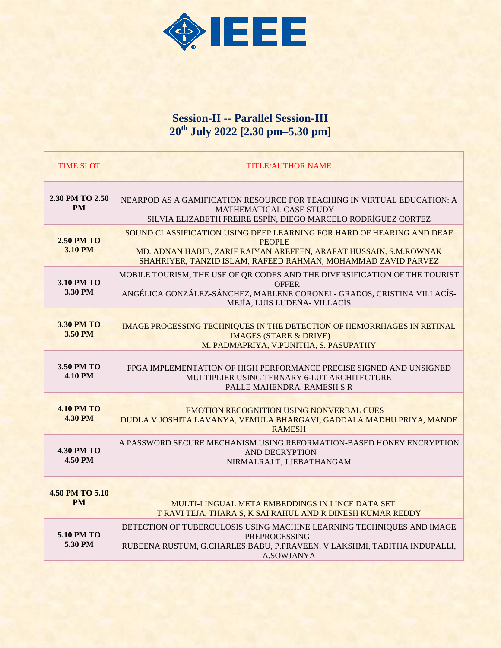

### **Session-II -- Parallel Session-III 20th July 2022 [2.30 pm–5.30 pm]**

| <b>TIME SLOT</b>                    | <b>TITLE/AUTHOR NAME</b>                                                                                                                                                                                                     |
|-------------------------------------|------------------------------------------------------------------------------------------------------------------------------------------------------------------------------------------------------------------------------|
| 2.30 PM TO 2.50<br><b>PM</b>        | NEARPOD AS A GAMIFICATION RESOURCE FOR TEACHING IN VIRTUAL EDUCATION: A<br>MATHEMATICAL CASE STUDY<br>SILVIA ELIZABETH FREIRE ESPÍN, DIEGO MARCELO RODRÍGUEZ CORTEZ                                                          |
| <b>2.50 PM TO</b><br><b>3.10 PM</b> | SOUND CLASSIFICATION USING DEEP LEARNING FOR HARD OF HEARING AND DEAF<br><b>PEOPLE</b><br>MD. ADNAN HABIB, ZARIF RAIYAN AREFEEN, ARAFAT HUSSAIN, S.M.ROWNAK<br>SHAHRIYER, TANZID ISLAM, RAFEED RAHMAN, MOHAMMAD ZAVID PARVEZ |
| 3.10 PM TO<br>3.30 PM               | MOBILE TOURISM, THE USE OF QR CODES AND THE DIVERSIFICATION OF THE TOURIST<br><b>OFFER</b><br>ANGÉLICA GONZÁLEZ-SÁNCHEZ, MARLENE CORONEL- GRADOS, CRISTINA VILLACÍS-<br>MEJÍA, LUIS LUDEÑA- VILLACÍS                         |
| 3.30 PM TO<br>3.50 PM               | <b>IMAGE PROCESSING TECHNIQUES IN THE DETECTION OF HEMORRHAGES IN RETINAL</b><br><b>IMAGES (STARE &amp; DRIVE)</b><br>M. PADMAPRIYA, V.PUNITHA, S. PASUPATHY                                                                 |
| 3.50 PM TO<br><b>4.10 PM</b>        | FPGA IMPLEMENTATION OF HIGH PERFORMANCE PRECISE SIGNED AND UNSIGNED<br>MULTIPLIER USING TERNARY 6-LUT ARCHITECTURE<br>PALLE MAHENDRA, RAMESH S R                                                                             |
| <b>4.10 PM TO</b><br><b>4.30 PM</b> | <b>EMOTION RECOGNITION USING NONVERBAL CUES</b><br>DUDLA V JOSHITA LAVANYA, VEMULA BHARGAVI, GADDALA MADHU PRIYA, MANDE<br><b>RAMESH</b>                                                                                     |
| <b>4.30 PM TO</b><br>4.50 PM        | A PASSWORD SECURE MECHANISM USING REFORMATION-BASED HONEY ENCRYPTION<br><b>AND DECRYPTION</b><br>NIRMALRAJ T, J.JEBATHANGAM                                                                                                  |
| 4.50 PM TO 5.10<br><b>PM</b>        | MULTI-LINGUAL META EMBEDDINGS IN LINCE DATA SET<br>T RAVI TEJA, THARA S, K SAI RAHUL AND R DINESH KUMAR REDDY                                                                                                                |
| 5.10 PM TO<br>5.30 PM               | DETECTION OF TUBERCULOSIS USING MACHINE LEARNING TECHNIQUES AND IMAGE<br><b>PREPROCESSING</b><br>RUBEENA RUSTUM, G.CHARLES BABU, P.PRAVEEN, V.LAKSHMI, TABITHA INDUPALLI,<br>A.SOWJANYA                                      |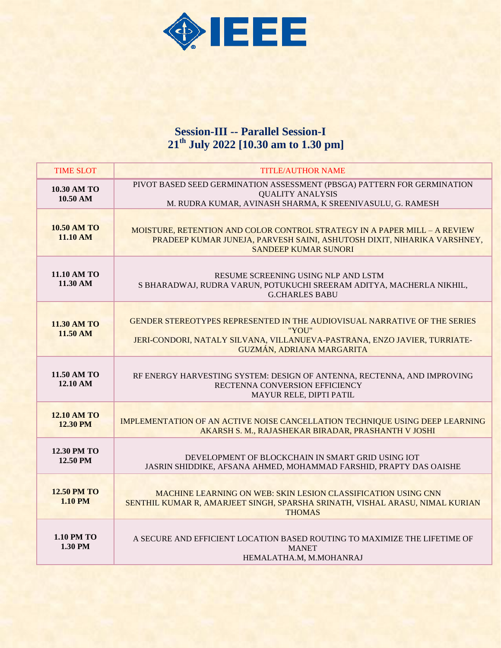

#### **Session-III -- Parallel Session-I 21 th July 2022 [10.30 am to 1.30 pm]**

| <b>TIME SLOT</b>                     | <b>TITLE/AUTHOR NAME</b>                                                                                                                                                                     |
|--------------------------------------|----------------------------------------------------------------------------------------------------------------------------------------------------------------------------------------------|
| 10.30 AM TO<br>10.50 AM              | PIVOT BASED SEED GERMINATION ASSESSMENT (PBSGA) PATTERN FOR GERMINATION<br><b>QUALITY ANALYSIS</b><br>M. RUDRA KUMAR, AVINASH SHARMA, K SREENIVASULU, G. RAMESH                              |
| <b>10.50 AM TO</b><br>11.10 AM       | MOISTURE, RETENTION AND COLOR CONTROL STRATEGY IN A PAPER MILL - A REVIEW<br>PRADEEP KUMAR JUNEJA, PARVESH SAINI, ASHUTOSH DIXIT, NIHARIKA VARSHNEY,<br><b>SANDEEP KUMAR SUNORI</b>          |
| 11.10 AM TO<br>11.30 AM              | RESUME SCREENING USING NLP AND LSTM<br>S BHARADWAJ, RUDRA VARUN, POTUKUCHI SREERAM ADITYA, MACHERLA NIKHIL,<br><b>G.CHARLES BABU</b>                                                         |
| <b>11.30 AM TO</b><br>11.50 AM       | GENDER STEREOTYPES REPRESENTED IN THE AUDIOVISUAL NARRATIVE OF THE SERIES<br>"YOU"<br>JERI-CONDORI, NATALY SILVANA, VILLANUEVA-PASTRANA, ENZO JAVIER, TURRIATE-<br>GUZMÁN, ADRIANA MARGARITA |
| 11.50 AM TO<br>12.10 AM              | RF ENERGY HARVESTING SYSTEM: DESIGN OF ANTENNA, RECTENNA, AND IMPROVING<br>RECTENNA CONVERSION EFFICIENCY<br>MAYUR RELE, DIPTI PATIL                                                         |
| <b>12.10 AM TO</b><br>12.30 PM       | IMPLEMENTATION OF AN ACTIVE NOISE CANCELLATION TECHNIQUE USING DEEP LEARNING<br>AKARSH S. M., RAJASHEKAR BIRADAR, PRASHANTH V JOSHI                                                          |
| 12.30 PM TO<br>12.50 PM              | DEVELOPMENT OF BLOCKCHAIN IN SMART GRID USING IOT<br>JASRIN SHIDDIKE, AFSANA AHMED, MOHAMMAD FARSHID, PRAPTY DAS OAISHE                                                                      |
| <b>12.50 PM TO</b><br><b>1.10 PM</b> | MACHINE LEARNING ON WEB: SKIN LESION CLASSIFICATION USING CNN<br>SENTHIL KUMAR R, AMARJEET SINGH, SPARSHA SRINATH, VISHAL ARASU, NIMAL KURIAN<br><b>THOMAS</b>                               |
| <b>1.10 PM TO</b><br>1.30 PM         | A SECURE AND EFFICIENT LOCATION BASED ROUTING TO MAXIMIZE THE LIFETIME OF<br><b>MANET</b><br>HEMALATHA.M, M.MOHANRAJ                                                                         |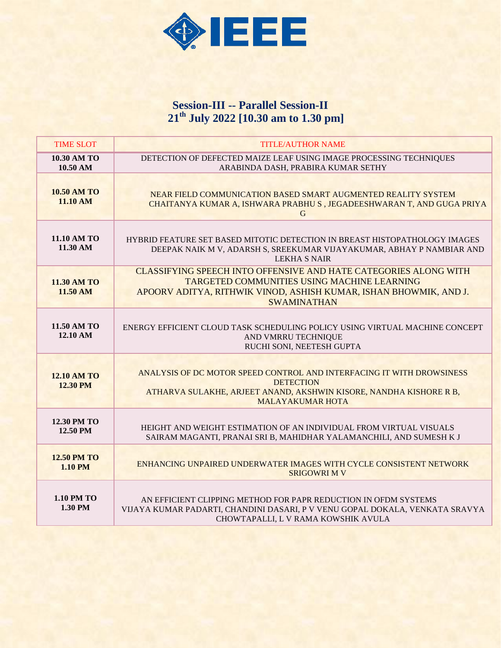

#### **Session-III -- Parallel Session-II 21th July 2022 [10.30 am to 1.30 pm]**

| <b>TIME SLOT</b>                      | <b>TITLE/AUTHOR NAME</b>                                                                                                                                                                                                 |
|---------------------------------------|--------------------------------------------------------------------------------------------------------------------------------------------------------------------------------------------------------------------------|
| <b>10.30 AM TO</b><br>10.50 AM        | DETECTION OF DEFECTED MAIZE LEAF USING IMAGE PROCESSING TECHNIQUES<br>ARABINDA DASH, PRABIRA KUMAR SETHY                                                                                                                 |
| <b>10.50 AM TO</b><br>11.10 AM        | NEAR FIELD COMMUNICATION BASED SMART AUGMENTED REALITY SYSTEM<br>CHAITANYA KUMAR A, ISHWARA PRABHU S, JEGADEESHWARAN T, AND GUGA PRIYA<br>G                                                                              |
| 11.10 AM TO<br>11.30 AM               | HYBRID FEATURE SET BASED MITOTIC DETECTION IN BREAST HISTOPATHOLOGY IMAGES<br>DEEPAK NAIK M V, ADARSH S, SREEKUMAR VIJAYAKUMAR, ABHAY P NAMBIAR AND<br>LEKHA S NAIR                                                      |
| 11.30 AM TO<br>$11.50 \text{ AM}$     | <b>CLASSIFYING SPEECH INTO OFFENSIVE AND HATE CATEGORIES ALONG WITH</b><br><b>TARGETED COMMUNITIES USING MACHINE LEARNING</b><br>APOORV ADITYA, RITHWIK VINOD, ASHISH KUMAR, ISHAN BHOWMIK, AND J.<br><b>SWAMINATHAN</b> |
| 11.50 AM TO<br>12.10 AM               | ENERGY EFFICIENT CLOUD TASK SCHEDULING POLICY USING VIRTUAL MACHINE CONCEPT<br>AND VMRRU TECHNIQUE<br>RUCHI SONI, NEETESH GUPTA                                                                                          |
| <b>12.10 AM TO</b><br><b>12.30 PM</b> | ANALYSIS OF DC MOTOR SPEED CONTROL AND INTERFACING IT WITH DROWSINESS<br><b>DETECTION</b><br>ATHARVA SULAKHE, ARJEET ANAND, AKSHWIN KISORE, NANDHA KISHORE R B,<br><b>MALAYAKUMAR HOTA</b>                               |
| 12.30 PM TO<br>12.50 PM               | HEIGHT AND WEIGHT ESTIMATION OF AN INDIVIDUAL FROM VIRTUAL VISUALS<br>SAIRAM MAGANTI, PRANAI SRI B, MAHIDHAR YALAMANCHILI, AND SUMESH K J                                                                                |
| <b>12.50 PM TO</b><br><b>1.10 PM</b>  | ENHANCING UNPAIRED UNDERWATER IMAGES WITH CYCLE CONSISTENT NETWORK<br><b>SRIGOWRI M V</b>                                                                                                                                |
| 1.10 PM TO<br>1.30 PM                 | AN EFFICIENT CLIPPING METHOD FOR PAPR REDUCTION IN OFDM SYSTEMS<br>VIJAYA KUMAR PADARTI, CHANDINI DASARI, P V VENU GOPAL DOKALA, VENKATA SRAVYA<br>CHOWTAPALLI, L V RAMA KOWSHIK AVULA                                   |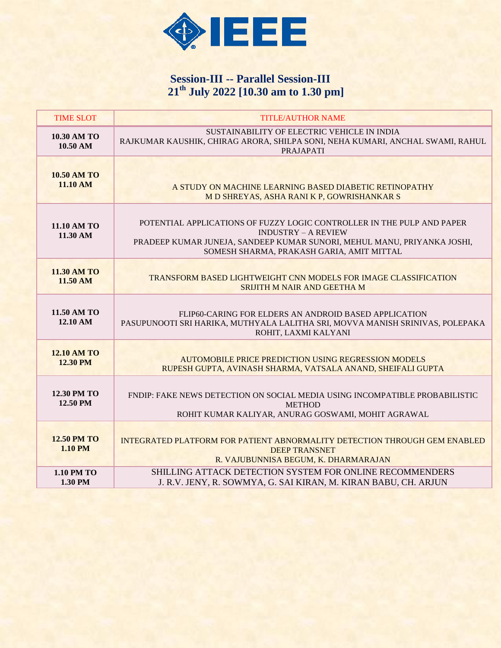

# **Session-III -- Parallel Session-III 21th July 2022 [10.30 am to 1.30 pm]**

| <b>TIME SLOT</b>                      | <b>TITLE/AUTHOR NAME</b>                                                                                                                                                                                                     |
|---------------------------------------|------------------------------------------------------------------------------------------------------------------------------------------------------------------------------------------------------------------------------|
| 10.30 AM TO<br>10.50 AM               | SUSTAINABILITY OF ELECTRIC VEHICLE IN INDIA<br>RAJKUMAR KAUSHIK, CHIRAG ARORA, SHILPA SONI, NEHA KUMARI, ANCHAL SWAMI, RAHUL<br><b>PRAJAPATI</b>                                                                             |
| <b>10.50 AM TO</b><br>11.10 AM        | A STUDY ON MACHINE LEARNING BASED DIABETIC RETINOPATHY<br>M D SHREYAS, ASHA RANI K P, GOWRISHANKAR S                                                                                                                         |
| 11.10 AM TO<br>11.30 AM               | POTENTIAL APPLICATIONS OF FUZZY LOGIC CONTROLLER IN THE PULP AND PAPER<br><b>INDUSTRY - A REVIEW</b><br>PRADEEP KUMAR JUNEJA, SANDEEP KUMAR SUNORI, MEHUL MANU, PRIYANKA JOSHI,<br>SOMESH SHARMA, PRAKASH GARIA, AMIT MITTAL |
| <b>11.30 AM TO</b><br>11.50 AM        | TRANSFORM BASED LIGHTWEIGHT CNN MODELS FOR IMAGE CLASSIFICATION<br>SRIJITH M NAIR AND GEETHA M                                                                                                                               |
| 11.50 AM TO<br>12.10 AM               | FLIP60-CARING FOR ELDERS AN ANDROID BASED APPLICATION<br>PASUPUNOOTI SRI HARIKA, MUTHYALA LALITHA SRI, MOVVA MANISH SRINIVAS, POLEPAKA<br>ROHIT, LAXMI KALYANI                                                               |
| <b>12.10 AM TO</b><br><b>12.30 PM</b> | <b>AUTOMOBILE PRICE PREDICTION USING REGRESSION MODELS</b><br>RUPESH GUPTA, AVINASH SHARMA, VATSALA ANAND, SHEIFALI GUPTA                                                                                                    |
| <b>12.30 PM TO</b><br>12.50 PM        | FNDIP: FAKE NEWS DETECTION ON SOCIAL MEDIA USING INCOMPATIBLE PROBABILISTIC<br><b>METHOD</b><br>ROHIT KUMAR KALIYAR, ANURAG GOSWAMI, MOHIT AGRAWAL                                                                           |
| <b>12.50 PM TO</b><br>$1.10$ PM       | INTEGRATED PLATFORM FOR PATIENT ABNORMALITY DETECTION THROUGH GEM ENABLED<br><b>DEEP TRANSNET</b><br>R. VAJUBUNNISA BEGUM, K. DHARMARAJAN                                                                                    |
| <b>1.10 PM TO</b><br>1.30 PM          | <b>SHILLING ATTACK DETECTION SYSTEM FOR ONLINE RECOMMENDERS</b><br>J. R.V. JENY, R. SOWMYA, G. SAI KIRAN, M. KIRAN BABU, CH. ARJUN                                                                                           |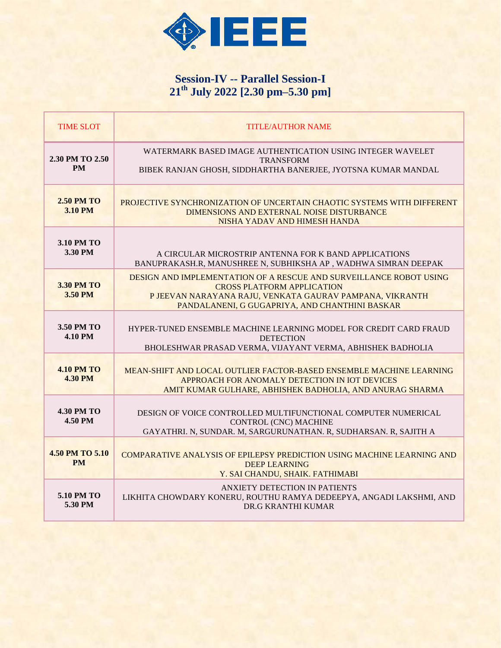

# **Session-IV -- Parallel Session-I 21th July 2022 [2.30 pm–5.30 pm]**

| <b>TIME SLOT</b>                    | <b>TITLE/AUTHOR NAME</b>                                                                                                                                                                                              |
|-------------------------------------|-----------------------------------------------------------------------------------------------------------------------------------------------------------------------------------------------------------------------|
| 2.30 PM TO 2.50<br><b>PM</b>        | WATERMARK BASED IMAGE AUTHENTICATION USING INTEGER WAVELET<br><b>TRANSFORM</b><br>BIBEK RANJAN GHOSH, SIDDHARTHA BANERJEE, JYOTSNA KUMAR MANDAL                                                                       |
| <b>2.50 PM TO</b><br><b>3.10 PM</b> | PROJECTIVE SYNCHRONIZATION OF UNCERTAIN CHAOTIC SYSTEMS WITH DIFFERENT<br>DIMENSIONS AND EXTERNAL NOISE DISTURBANCE<br>NISHA YADAV AND HIMESH HANDA                                                                   |
| 3.10 PM TO<br>3.30 PM               | A CIRCULAR MICROSTRIP ANTENNA FOR K BAND APPLICATIONS<br>BANUPRAKASH.R, MANUSHREE N, SUBHIKSHA AP, WADHWA SIMRAN DEEPAK                                                                                               |
| <b>3.30 PM TO</b><br>3.50 PM        | DESIGN AND IMPLEMENTATION OF A RESCUE AND SURVEILLANCE ROBOT USING<br><b>CROSS PLATFORM APPLICATION</b><br>P JEEVAN NARAYANA RAJU, VENKATA GAURAV PAMPANA, VIKRANTH<br>PANDALANENI, G GUGAPRIYA, AND CHANTHINI BASKAR |
| 3.50 PM TO<br><b>4.10 PM</b>        | HYPER-TUNED ENSEMBLE MACHINE LEARNING MODEL FOR CREDIT CARD FRAUD<br><b>DETECTION</b><br>BHOLESHWAR PRASAD VERMA, VIJAYANT VERMA, ABHISHEK BADHOLIA                                                                   |
| <b>4.10 PM TO</b><br><b>4.30 PM</b> | MEAN-SHIFT AND LOCAL OUTLIER FACTOR-BASED ENSEMBLE MACHINE LEARNING<br>APPROACH FOR ANOMALY DETECTION IN IOT DEVICES<br>AMIT KUMAR GULHARE, ABHISHEK BADHOLIA, AND ANURAG SHARMA                                      |
| <b>4.30 PM TO</b><br>4.50 PM        | DESIGN OF VOICE CONTROLLED MULTIFUNCTIONAL COMPUTER NUMERICAL<br><b>CONTROL (CNC) MACHINE</b><br>GAYATHRI. N, SUNDAR. M, SARGURUNATHAN. R, SUDHARSAN. R, SAJITH A                                                     |
| 4.50 PM TO 5.10<br><b>PM</b>        | COMPARATIVE ANALYSIS OF EPILEPSY PREDICTION USING MACHINE LEARNING AND<br>DEEP LEARNING<br>Y. SAI CHANDU, SHAIK. FATHIMABI                                                                                            |
| 5.10 PM TO<br>5.30 PM               | ANXIETY DETECTION IN PATIENTS<br>LIKHITA CHOWDARY KONERU, ROUTHU RAMYA DEDEEPYA, ANGADI LAKSHMI, AND<br>DR.G KRANTHI KUMAR                                                                                            |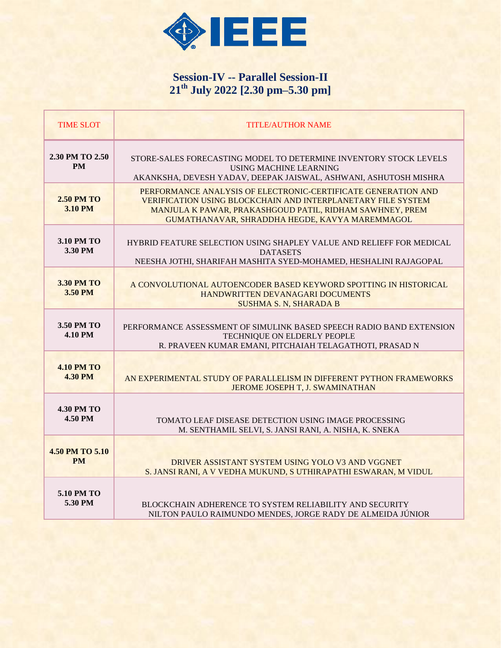

# **Session-IV -- Parallel Session-II 21th July 2022 [2.30 pm–5.30 pm]**

| <b>TIME SLOT</b>                    | <b>TITLE/AUTHOR NAME</b>                                                                                                                                                                                                                           |
|-------------------------------------|----------------------------------------------------------------------------------------------------------------------------------------------------------------------------------------------------------------------------------------------------|
| 2.30 PM TO 2.50<br><b>PM</b>        | STORE-SALES FORECASTING MODEL TO DETERMINE INVENTORY STOCK LEVELS<br>USING MACHINE LEARNING<br>AKANKSHA, DEVESH YADAV, DEEPAK JAISWAL, ASHWANI, ASHUTOSH MISHRA                                                                                    |
| <b>2.50 PM TO</b><br><b>3.10 PM</b> | PERFORMANCE ANALYSIS OF ELECTRONIC-CERTIFICATE GENERATION AND<br><b>VERIFICATION USING BLOCKCHAIN AND INTERPLANETARY FILE SYSTEM</b><br>MANJULA K PAWAR, PRAKASHGOUD PATIL, RIDHAM SAWHNEY, PREM<br>GUMATHANAVAR, SHRADDHA HEGDE, KAVYA MAREMMAGOL |
| 3.10 PM TO<br>3.30 PM               | HYBRID FEATURE SELECTION USING SHAPLEY VALUE AND RELIEFF FOR MEDICAL<br><b>DATASETS</b><br>NEESHA JOTHI, SHARIFAH MASHITA SYED-MOHAMED, HESHALINI RAJAGOPAL                                                                                        |
| <b>3.30 PM TO</b><br>3.50 PM        | A CONVOLUTIONAL AUTOENCODER BASED KEYWORD SPOTTING IN HISTORICAL<br>HANDWRITTEN DEVANAGARI DOCUMENTS<br><b>SUSHMA S. N. SHARADA B</b>                                                                                                              |
| 3.50 PM TO<br><b>4.10 PM</b>        | PERFORMANCE ASSESSMENT OF SIMULINK BASED SPEECH RADIO BAND EXTENSION<br>TECHNIQUE ON ELDERLY PEOPLE<br>R. PRAVEEN KUMAR EMANI, PITCHAIAH TELAGATHOTI, PRASAD N                                                                                     |
| <b>4.10 PM TO</b><br><b>4.30 PM</b> | AN EXPERIMENTAL STUDY OF PARALLELISM IN DIFFERENT PYTHON FRAMEWORKS<br>JEROME JOSEPH T, J. SWAMINATHAN                                                                                                                                             |
| <b>4.30 PM TO</b><br>4.50 PM        | TOMATO LEAF DISEASE DETECTION USING IMAGE PROCESSING<br>M. SENTHAMIL SELVI. S. JANSI RANI. A. NISHA. K. SNEKA                                                                                                                                      |
| 4.50 PM TO 5.10<br><b>PM</b>        | DRIVER ASSISTANT SYSTEM USING YOLO V3 AND VGGNET<br>S. JANSI RANI, A V VEDHA MUKUND, S UTHIRAPATHI ESWARAN, M VIDUL                                                                                                                                |
| 5.10 PM TO<br>5.30 PM               | <b>BLOCKCHAIN ADHERENCE TO SYSTEM RELIABILITY AND SECURITY</b><br>NILTON PAULO RAIMUNDO MENDES, JORGE RADY DE ALMEIDA JÚNIOR                                                                                                                       |